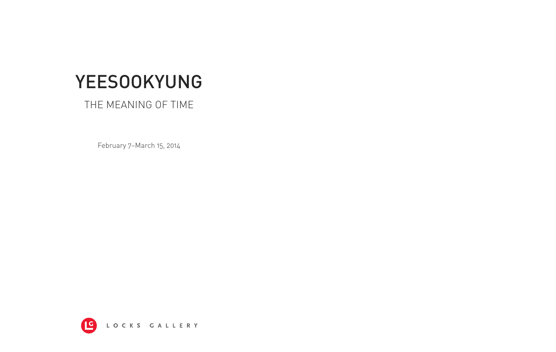## YEESOOKYUNG

## THE MEANING OF TIME

February 7–March 15, 2014

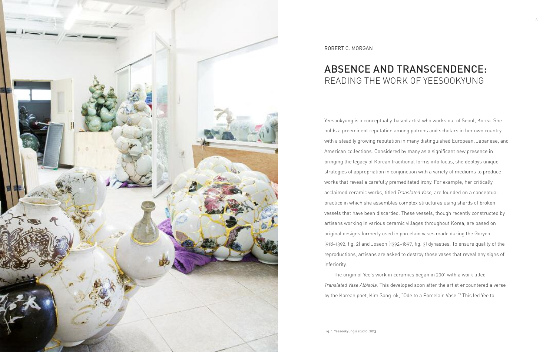

ROBERT C. MORGAN

## ABSENCE AND TRANSCENDENCE: READING THE WORK OF YEESOOKYUNG

Yeesookyung is a conceptually-based artist who works out of Seoul, Korea. She holds a preeminent reputation among patrons and scholars in her own country with a steadily growing reputation in many distinguished European, Japanese, and American collections. Considered by many as a significant new presence in bringing the legacy of Korean traditional forms into focus, she deploys unique strategies of appropriation in conjunction with a variety of mediums to produce works that reveal a carefully premeditated irony. For example, her critically acclaimed ceramic works, titled *Translated Vase,* are founded on a conceptual practice in which she assembles complex structures using shards of broken vessels that have been discarded. These vessels, though recently constructed by artisans working in various ceramic villages throughout Korea, are based on original designs formerly used in porcelain vases made during the Goryeo (918–1392, fig. 2) and Joseon (1392–1897, fig. 3) dynasties. To ensure quality of the reproductions, artisans are asked to destroy those vases that reveal any signs of inferiority.

The origin of Yee's work in ceramics began in 2001 with a work titled *Translated Vase Albisola.* This developed soon after the artist encountered a verse by the Korean poet, Kim Song-ok, "Ode to a Porcelain Vase."1 This led Yee to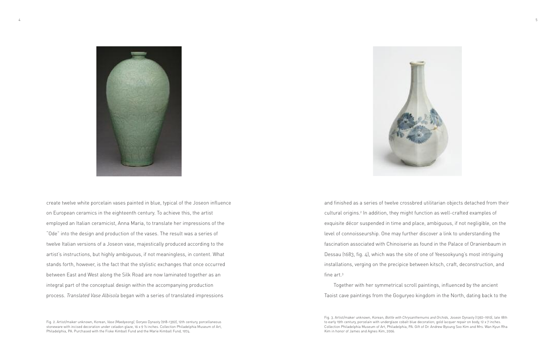

create twelve white porcelain vases painted in blue, typical of the Joseon influence on European ceramics in the eighteenth century. To achieve this, the artist employed an Italian ceramicist, Anna Maria, to translate her impressions of the "Ode" into the design and production of the vases. The result was a series of twelve Italian versions of a Joseon vase, majestically produced according to the artist's instructions, but highly ambiguous, if not meaningless, in content. What stands forth, however, is the fact that the stylistic exchanges that once occurred between East and West along the Silk Road are now laminated together as an integral part of the conceptual design within the accompanying production process. *Translated Vase Albisola* began with a series of translated impressions

Fig. 2. Artist/maker unknown, Korean, *Vase (Maebyeong),* Goryeo Dynasty (918–1392), 12th century, porcellaneous stoneware with incised decoration under celadon glaze, 16 x 9 ½ inches. Collection Philadelphia Museum of Art, Philadelphia, PA. Purchased with the Fiske Kimball Fund and the Marie Kimball Fund, 1974.



and finished as a series of twelve crossbred utilitarian objects detached from their cultural origins. <sup>2</sup> In addition, they might function as well-crafted examples of exquisite décor suspended in time and place, ambiguous, if not negligible, on the level of connoisseurship. One may further discover a link to understanding the fascination associated with Chinoiserie as found in the Palace of Oranienbaum in Dessau (1683, fig. 4), which was the site of one of Yeesookyung's most intriguing installations, verging on the precipice between kitsch, craft, deconstruction, and fine art. 3

Together with her symmetrical scroll paintings, influenced by the ancient Taoist cave paintings from the Goguryeo kingdom in the North, dating back to the

Fig. 3. Artist/maker unknown, Korean, *Bottle with Chrysanthemums and Orchids,* Joseon Dynasty (1392–1910), late 18th to early 19th century, porcelain with underglaze cobalt blue decoration; gold lacquer repair on body, 12 x 7 inches. Collection Philadelphia Museum of Art, Philadelphia, PA. Gift of Dr. Andrew Byoung Soo Kim and Mrs. Wan Kyun Rha Kim in honor of James and Agnes Kim, 2006.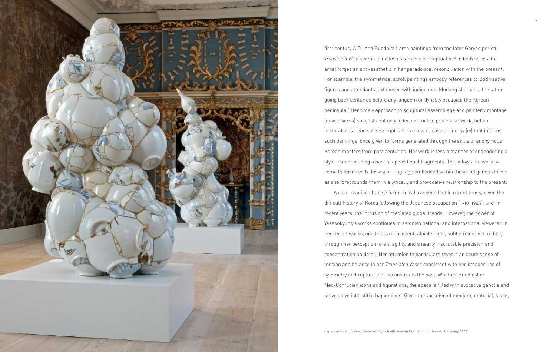

first century A.D., and Buddhist flame paintings from the later Goryeo period, *Translated Vase* seems to make a seamless conceptual fit. <sup>4</sup> In both series, the artist forges an anti-aesthetic in her paradoxical reconciliation with the present. For example, the symmetrical scroll paintings embody references to Bodhisattva figures and attendants juxtaposed with indigenous Mudang shamans, the latter going back centuries before any kingdom or dynasty occupied the Korean peninsula. <sup>5</sup> Her timely approach to sculptural assemblage and painterly montage (or vice versa) suggests not only a deconstructive process at work, but an inexorable patience as she implicates a slow release of energy (*qi*) that informs such paintings, once given to forms generated through the skills of anonymous Korean masters from past centuries. Her work is less a manner of engendering a style than producing a host of oppositional fragments. This allows the work to come to terms with the visual language embedded within these indigenous forms as she foregrounds them in a lyrically and provocative relationship to the present.

A clear reading of these forms may have been lost in recent times, given the difficult history of Korea following the Japanese occupation (1910–1945), and, in recent years, the intrusion of mediated global trends. However, the power of Yeesookyung's works continues to astonish national and international viewers. <sup>6</sup> In her recent works, one finds a consistent, albeit subtle, subtle reference to the *qi* through her perception, craft, agility, and a nearly inscrutable precision and concentration on detail. Her attention to particulars reveals an acute sense of tension and balance in her *Translated Vases* consistent with her broader use of symmetry and rupture that deconstructs the past. Whether Buddhist or Neo-Confucian icons and figurations, the space is filled with evocative ganglia and provocative interstitial happenings. Given the variation of medium, material, scale,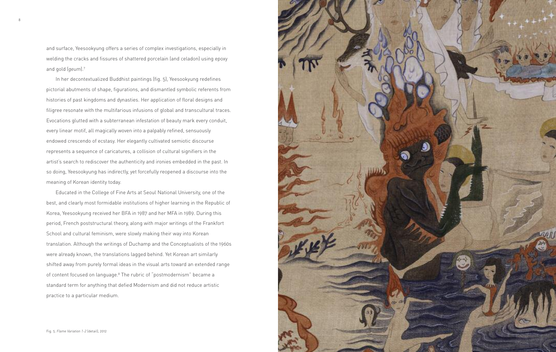and surface, Yeesookyung offers a series of complex investigations, especially in welding the cracks and fissures of shattered porcelain (and celadon) using epoxy and gold (*geum*). 7

In her decontextualized Buddhist paintings (fig. 5), Yeesookyung redefines pictorial abutments of shape, figurations, and dismantled symbolic referents from histories of past kingdoms and dynasties. Her application of floral designs and filigree resonate with the multifarious infusions of global and transcultural traces. Evocations glutted with a subterranean infestation of beauty mark every conduit, every linear motif, all magically woven into a palpably refined, sensuously endowed crescendo of ecstasy. Her elegantly cultivated semiotic discourse represents a sequence of caricatures, a collision of cultural signifiers in the artist's search to rediscover the authenticity and ironies embedded in the past. In so doing, Yeesookyung has indirectly, yet forcefully reopened a discourse into the meaning of Korean identity today.

Educated in the College of Fine Arts at Seoul National University, one of the best, and clearly most formidable institutions of higher learning in the Republic of Korea, Yeesookyung received her BFA in 1987 and her MFA in 1989. During this period, French poststructural theory, along with major writings of the Frankfort School and cultural feminism, were slowly making their way into Korean translation. Although the writings of Duchamp and the Conceptualists of the 1960s were already known, the translations lagged behind. Yet Korean art similarly shifted away from purely formal ideas in the visual arts toward an extended range of content focused on language. <sup>8</sup> The rubric of "postmodernism" became a standard term for anything that defied Modernism and did not reduce artistic practice to a particular medium.



Fig. 5. *Flame Variation 1-2* (detail), 2012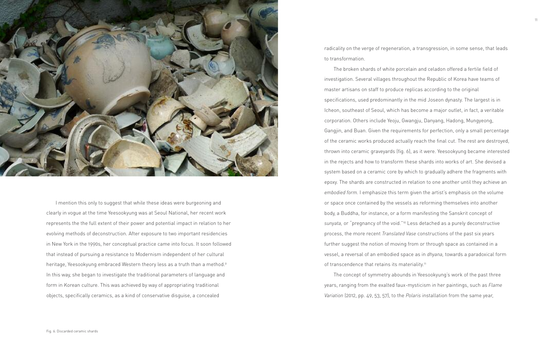

I mention this only to suggest that while these ideas were burgeoning and clearly in vogue at the time Yeesookyung was at Seoul National, her recent work represents the the full extent of their power and potential impact in relation to her evolving methods of deconstruction. After exposure to two important residencies in New York in the 1990s, her conceptual practice came into focus. It soon followed that instead of pursuing a resistance to Modernism independent of her cultural heritage, Yeesookyung embraced Western theory less as a truth than a method. 9 In this way, she began to investigate the traditional parameters of language and form in Korean culture. This was achieved by way of appropriating traditional objects, specifically ceramics, as a kind of conservative disguise, a concealed

radicality on the verge of regeneration, a transgression, in some sense, that leads to transformation.

The broken shards of white porcelain and celadon offered a fertile field of investigation. Several villages throughout the Republic of Korea have teams of master artisans on staff to produce replicas according to the original specifications, used predominantly in the mid Joseon dynasty. The largest is in Icheon, southeast of Seoul, which has become a major outlet, in fact, a veritable corporation. Others include Yeoju, Gwangju, Danyang, Hadong, Mungyeong, Gangjin, and Buan. Given the requirements for perfection, only a small percentage of the ceramic works produced actually reach the final cut. The rest are destroyed, thrown into ceramic graveyards (fig. 6), as it were. Yeesookyung became interested in the rejects and how to transform these shards into works of art. She devised a system based on a ceramic core by which to gradually adhere the fragments with epoxy. The shards are constructed in relation to one another until they achieve an *embodied form.* I emphasize this term given the artist's emphasis on the volume or space once contained by the vessels as reforming themselves into another body, a Buddha, for instance, or a form manifesting the Sanskrit concept of *sunyata,* or "pregnancy of the void."10 Less detached as a purely deconstructive process, the more recent *Translated Vase* constructions of the past six years further suggest the notion of moving from or through space as contained in a vessel, a reversal of an embodied space as in *dhyana,* towards a paradoxical form of transcendence that retains its materiality.<sup>11</sup>

The concept of symmetry abounds in Yeesookyung's work of the past three years, ranging from the exalted faux-mysticism in her paintings, such as *Flame Variation* (2012, pp. 49, 53, 57), to the *Polaris* installation from the same year,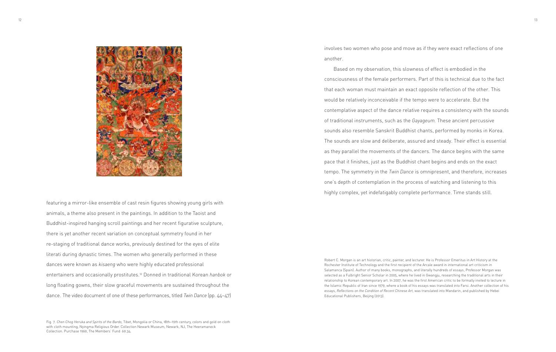

featuring a mirror-like ensemble of cast resin figures showing young girls with animals, a theme also present in the paintings. In addition to the Taoist and Buddhist-inspired hanging scroll paintings and her recent figurative sculpture, there is yet another recent variation on conceptual symmetry found in her re-staging of traditional dance works, previously destined for the eyes of elite literati during dynastic times. The women who generally performed in these dances were known as *kisaeng* who were highly educated professional entertainers and occasionally prostitutes. <sup>12</sup> Donned in traditional Korean *hanbok* or long floating gowns, their slow graceful movements are sustained throughout the dance. The video document of one of these performances, titled *Twin Dance* (pp. 44–47) involves two women who pose and move as if they were exact reflections of one another.

Based on my observation, this slowness of effect is embodied in the consciousness of the female performers. Part of this is technical due to the fact that each woman must maintain an exact opposite reflection of the other. This would be relatively inconceivable if the tempo were to accelerate. But the contemplative aspect of the dance relative requires a consistency with the sounds of traditional instruments, such as the *Gayageum.* These ancient percussive sounds also resemble Sanskrit Buddhist chants, performed by monks in Korea. The sounds are slow and deliberate, assured and steady. Their effect is essential as they parallel the movements of the dancers. The dance begins with the same pace that it finishes, just as the Buddhist chant begins and ends on the exact tempo. The symmetry in the *Twin Dance* is omnipresent, and therefore, increases one's depth of contemplation in the process of watching and listening to this highly complex, yet indefatigably complete performance. Time stands still.

Robert C. Morgan is an art historian, critic, painter, and lecturer. He is Professor Emeritus in Art History at the Rochester Institute of Technology and the first recipient of the Arcale award in international art criticism in Salamanca (Spain). Author of many books, monographs, and literally hundreds of essays, Professor Morgan was selected as a Fulbright Senior Scholar in 2005, where he lived in Gwangju, researching the traditional arts in their relationship to Korean contemporary art. In 2007, he was the first American critic to be formally invited to lecture in the Islamic Republic of Iran since 1979, where a book of his essays was translated into Farsi. Another collection of his essays, *Reflections on the Condition of Recent Chinese Art,* was translated into Mandarin, and published by Hebei Educational Publishers, Beijing (2013).

Fig. 7. *Chen Chog Heruka and Spirits of the Bardo,* Tibet, Mongolia or China, 18th–19th century, colors and gold on cloth with cloth mounting, Nyingma Religious Order. Collection Newark Museum, Newark, NJ, The Heeramaneck Collection. Purchase 1969, The Members' Fund 69.34.